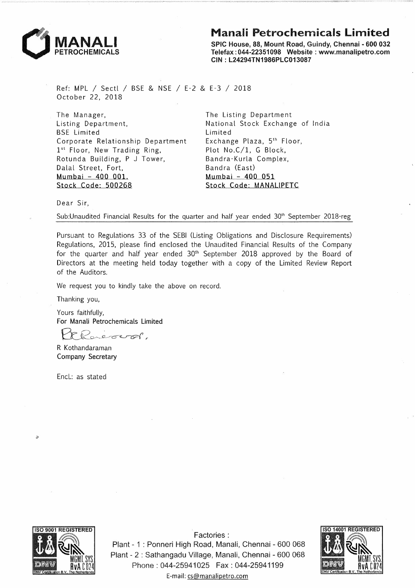



SPIC House, 88, Mount Road, Guindy, Chennai - 600 032 Telefax : 044-22351098 Website : www.manalipetro.com CIN : L24294TN1986PLC013087

Ref: MPL / Sectl *I* BSE & NSE *I* E-2 & E-3 *I* 2018 October 22, 2018

The Manager, Listing Department, BSE Limited Corporate Relationship Department 1st Floor, New Trading Ring, Rotunda Building, P J Tower, Dalal Street, Fort, Mumbai - 400 001. Stock Code: 500268

The Listing Department National Stock Exchange of India Limited Exchange Plaza, 5th Floor, Plot No.C/1, G Block, Bandra-Kurla Complex, Bandra (East) Mumbai - 400 051 Stock Code: MANAUPETC

Dear Sir,

Sub:Unaudited Financial Results for the quarter and half year ended  $30<sup>th</sup>$  September 2018-reg

Pursuant to Regulations 33 of the SEBI (Listing Obligations and Disclosure Requirements) Regulations, 2015, please find enclosed the Unaudited Financial Results of the Company for the quarter and half year ended  $30<sup>th</sup>$  September 2018 approved by the Board of Directors at the meeting held today together with a copy of the Limited Review Report of the Auditors.

We request you to kindly take the above on record.

Thanking you,

Yours faithfully, For Manali Petrochemicals Limited

*£1:.£0--~rcr~ <sup>r</sup>*

R Kothandaraman Company Secretary

Encl.: as stated



 $\overline{z}$ 

Factories : Plant - 1 : Ponneri High Road, Manali, Chennai - 600 068 Plant - 2 : Sathangadu Village, Manali, Chennai - 600 068 Phone: 044-25941025 Fax: 044-25941199 E-mail: cs@manalipetro.com

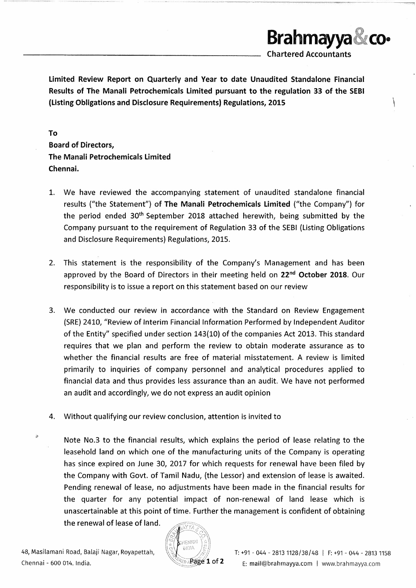Limited Review Report on Quarterly and Year to date Unaudited Standalone Financial Results of The Manali Petrochemicals Limited pursuant to the regulation 33 of the SEBI (Listing Obligations and Disclosure Requirements) Regulations, 2015 \

To Board of Directors, The Manali Petrochemicals Limited Chennai.

- 1. We have reviewed the accompanying statement of unaudited standalone financial results ("the Statement") of The Manali Petrochemicals Limited ("the Company") for the period ended 30th September 2018 attached herewith, being submitted by the Company pursuant to the requirement of Regulation 33 of the SEBI (Listing Obligations and Disclosure Requirements) Regulations, 2015.
- 2. This statement is the responsibility of the Company's Management and has been approved by the Board of Directors in their meeting held on 22<sup>nd</sup> October 2018. Our responsibility is to issue a report on this statement based on our review
- 3. We conducted our review in accordance with the Standard on Review Engagement (SRE) 2410, "Review of Interim Financial Information Performed by Independent Auditor of the Entity" specified under section 143(10) of the companies Act 2013. This standard requires that we plan and perform the review to obtain moderate assurance as to whether the financial results are free of material misstatement. A review is limited primarily to inquiries of company personnel and analytical procedures applied to financial data and thus provides less assurance than an audit. We have not performed an audit and accordingly, we do not express an audit opinion
- 4. Without qualifying our review conclusion, attention is invited to
- Note No.3 to the financial results, which explains the period of lease relating to the leasehold land on which one of the manufacturing units of the Company is operating has since expired on June 30, 2017 for which requests for renewal have been filed by the Company with Govt. of Tamil Nadu, (the Lessor) and extension of lease is awaited. Pending renewal of lease, no adjustments have been made in the financial results for the quarter for any potential impact of non-renewal of land lease which is unascertainable at this point of time. Further the management is confident of obtaining



**Brahmayya CO•** 

Chartered Accountants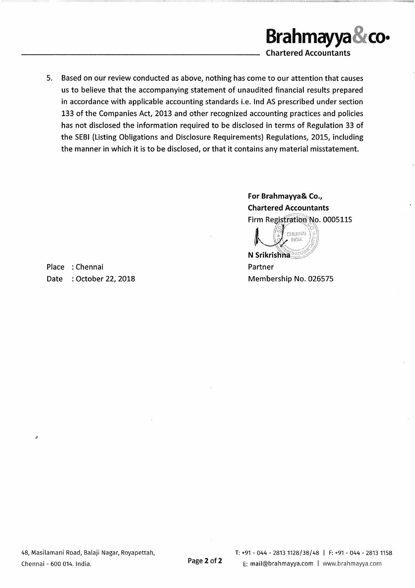

5. Based on our review conducted as above, nothing has come to our attention that causes us to believe that the accompanying statement of unaudited financial results prepared in accordance with applicable accounting standards i.e. Ind AS prescribed under section 133 of the Companies Act, 2013 and other recognized accounting practices and policies has not disclosed the information required to be disclosed in terms of Regulation 33 of the SEBI (Listing Obligations and Disclosure Requirements) Regulations, 2015, including the manner in which it is to be disclosed, or that it contains any material misstatement.

> For Brahmayya& Co., Chartered Accountants Firm Registration No. 000511S *o'' /* '','·o\\

*t*  $\mathbb{C}$  chennal  $\{x\}$ N Srikrishna<sup>®</sup>

Partner Membership No. 026575

Place : Chennai Date : October 22, 2018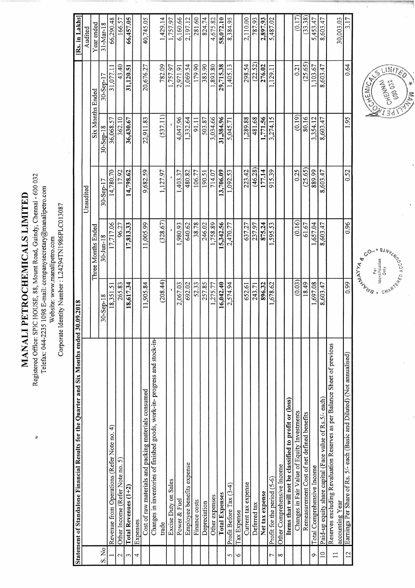MANALI PETROCHEMICALS LIMITED

Registered Office: SPIC HOUSE, 88, Mount Road, Guindy, Chennai - 600 032 Telefax: 044-2235 1098 E-mail: companysecretary@manalipetro.com

Website: www.manalipetro.com

Corporate Identity Number : L24294TN1986PLC013087

|                          | Statement of Standalone Financial Results for the Quarter and Six Months ended $30.09,2018$ |           |                    |               |                  |               | Rs. in Lakhs    |
|--------------------------|---------------------------------------------------------------------------------------------|-----------|--------------------|---------------|------------------|---------------|-----------------|
|                          |                                                                                             |           |                    | Unaudited     |                  |               | Audited         |
|                          |                                                                                             |           | Three Months Ended |               | Six Months Ended |               | Year ended      |
| S. No                    |                                                                                             | 30-Sep-18 | $30 - Jun - 18$    | $30 -$ Sep-17 | 30-Sep-18        | $30 -$ Sep-17 | $31 - Max - 18$ |
|                          | Revenue from Operations (Refer Note no. 4)                                                  | 18,351.51 | 17,717.06          | 14,780.70     | 36,068.57        | 31,077.11     | 66,290.48       |
| $\sim$                   | Other Income (Refer Note no. 5)                                                             | 265.83    | 96.27              | 17.92         | 362.10           | 43.40         | 166.57          |
| $\sim$                   | Total Revenues (1+2)                                                                        | 18,617.34 | 17,813.33          | 14,798.62     | 36,430.67        | 31,120.51     | 66,457.05       |
| 4                        | Expenses                                                                                    |           |                    |               |                  |               |                 |
|                          | Cost of raw materials and packing materials consumed                                        | 11,905.84 | 11,005.99          | 9,682.59      | 22,911.83        | 20,676.27     | 40,745.05       |
|                          | Changes in inventories of finished goods, work-in-progress and stock-in-                    |           |                    |               |                  |               |                 |
|                          | trade                                                                                       | (208.44)  | (328.67)           | 1,127.97      | (537.11)         | 782.09        | 1,429.14        |
|                          | Excise Duty on Sales                                                                        |           |                    |               |                  | 1,757.97      | 1,757.97        |
|                          | Power & Fuel                                                                                | 2,067.03  | 1,980.93           | ,403.37       | 4,047.96         | 2,971.91      | 6,160.66        |
|                          | Employee benefits expense                                                                   | 692.02    | 640.62             | 480.82        | 1,332.64         | 1,069.54      | 2,197.12        |
|                          | Finance costs                                                                               | 52.33     | 38.78              |               | 91.11            | 179.90        | 281.60          |
|                          | Depreciation                                                                                | 257.85    | 246.02             | 190.51        | 503.87           | 383.90        | 824.74          |
|                          | Other expenses                                                                              | 1,275.77  | 1,758.89           | 714.07        | 3,034.66         | 1,893.80      | 4,675.82        |
|                          | <b>Total Expenses</b>                                                                       | 16,042.40 | 15,342.56          | 13,706.09     | 31,384.96        | 29,715.38     | 58,072.10       |
| 5                        | Profit Before Tax (3-4)                                                                     | 2,574.94  | 2,470.77           | 1,092.53      | 5,045.71         | 1,405.13      | 8,384.95        |
| S                        | Tax Expense                                                                                 |           |                    |               |                  |               |                 |
|                          | Current tax expense                                                                         | 652.61    | 637.27             | 223.42        | 1,289.88         | 298.54        | 2,110.00        |
|                          | Deferred tax                                                                                | 243.71    | 237.97             | (46.28)       | 481.68           | (22.52)       | 787.93          |
|                          | Net tax expense                                                                             | 896.32    | 875.24             | 177.14        | 1,771.56         | 276.02        | 2,897.93        |
| 7                        | Profit for the period (5-6)                                                                 | 1,678.62  | 1,595.53           | 915.39        | 3,274.15         | 1,129.11      | 5,487.02        |
| $\infty$                 | Other Comprehensive Income                                                                  |           |                    |               |                  |               |                 |
|                          | Items that will not be classified to profit or (loss)                                       |           |                    |               |                  |               |                 |
|                          | Changes in Fair Value of Equity Investments                                                 | (0.03)    | (0.16)             | 0.25          | (0.19)           | 0.21          | (0.17)          |
|                          | Remeasurement Cost of net defined benefits                                                  | 18.49     | 61.67              | (25.65)       | 80.16            | (25.65)       | (33.38)         |
| Ó                        | Total Comprehensive Income                                                                  | 1,697.08  | .657.04            | 889.99        | 3,354.12         | 1,103.67      | 5,453.47        |
| $\overline{\phantom{0}}$ | Paid-up equity share capital (Face value of Rs.5/- each)                                    | 8,603.47  | 8,603.47           | 8,603.47      | 8,603.47         | 8,603.47      | 8,603.47        |
| $\Box$                   | Reserves excluding Revaluation Reserves as per Balance Sheet of previous<br>accounting Year |           |                    |               |                  |               | 30,003.03       |
| $\overline{5}$           | Earnings Per Share of Rs. 5/- each (Basic and Diluted) (Not annualised)                     | 0.99      | 0.96               | 0.52          | 1.95             | 0.64          | 3.17            |



**MARY SECTION ASSAULTS BRITATION** For<br>Idontification<br>Only

¥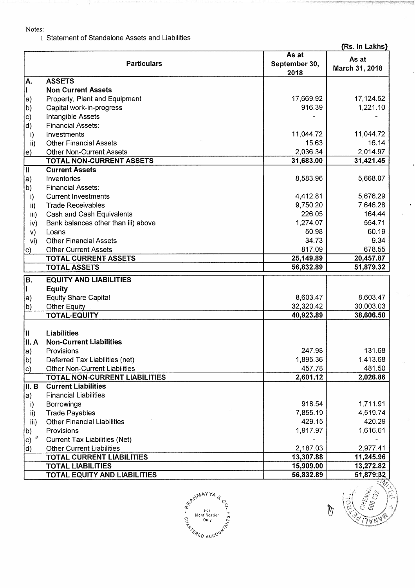## Notes:

I Statement of Standalone Assets and Liabilities

{Rs. In Lakhs}

|               | <b>Particulars</b>                   | As at<br>September 30, | As at          |
|---------------|--------------------------------------|------------------------|----------------|
|               |                                      | 2018                   | March 31, 2018 |
| İΑ.           | <b>ASSETS</b>                        |                        |                |
| 11            | <b>Non Current Assets</b>            |                        |                |
| a)            | Property, Plant and Equipment        | 17,669.92              | 17,124.52      |
| b)            | Capital work-in-progress             | 916.39                 | 1,221.10       |
| c)            | Intangible Assets                    |                        |                |
| d)            | <b>Financial Assets:</b>             |                        |                |
| i)            | Investments                          | 11,044.72              | 11,044.72      |
| ii)           | <b>Other Financial Assets</b>        | 15.63                  | 16.14          |
| le)           | <b>Other Non-Current Assets</b>      | 2,036.34               | 2,014.97       |
|               | <b>TOTAL NON-CURRENT ASSETS</b>      | 31,683.00              | 31,421.45      |
| 冚             | <b>Current Assets</b>                |                        |                |
| $ a\rangle$   | Inventories                          | 8,583.96               | 5,668.07       |
| b)            | <b>Financial Assets:</b>             |                        |                |
| i)            | <b>Current Investments</b>           | 4,412.81               | 5,676.29       |
| ii)           | <b>Trade Receivables</b>             | 9,750.20               | 7,646.28       |
| iii)          | Cash and Cash Equivalents            | 226.05                 | 164.44         |
| iv)           | Bank balances other than iii) above  | 1,274.07               | 554.71         |
| V)            | Loans                                | 50.98                  | 60.19          |
| vi)           | <b>Other Financial Assets</b>        | 34.73                  | 9.34           |
| $\vert c)$    | <b>Other Current Assets</b>          | 817.09                 | 678.55         |
|               | <b>TOTAL CURRENT ASSETS</b>          | 25,149.89              | 20,457.87      |
|               | <b>TOTAL ASSETS</b>                  | 56,832.89              | 51,879.32      |
| B.            | <b>EQUITY AND LIABILITIES</b>        |                        |                |
|               | <b>Equity</b>                        |                        |                |
| $ a\rangle$   | <b>Equity Share Capital</b>          | 8,603.47               | 8,603.47       |
| b)            | <b>Other Equity</b>                  | 32,320.42              | 30,003.03      |
|               | <b>TOTAL-EQUITY</b>                  | 40,923.89              | 38,606.50      |
|               | <b>Liabilities</b>                   |                        |                |
| II. A         | <b>Non-Current Liabilities</b>       |                        |                |
| $ a\rangle$   | Provisions                           | 247.98                 | 131.68         |
| b)            | Deferred Tax Liabilities (net)       | 1,895.36               | 1,413.68       |
|               | <b>Other Non-Current Liabilities</b> | 457.78                 | 481.50         |
| c)            | <b>TOTAL NON-CURRENT LIABILITIES</b> | 2,601.12               | 2,026.86       |
| II. B         | <b>Current Liabilities</b>           |                        |                |
| $ a\rangle$   | <b>Financial Liabilities</b>         |                        |                |
| i)            | <b>Borrowings</b>                    | 918.54                 | 1,711.91       |
| $\mathsf{ii}$ | <b>Trade Payables</b>                | 7,855.19               | 4,519.74       |
| iii)          | <b>Other Financial Liabilities</b>   | 429.15                 | 420.29         |
| $\mathsf{b}$  | Provisions                           | 1,917.97               | 1,616.61       |
|               | <b>Current Tax Liabilities (Net)</b> |                        |                |
| d)            | <b>Other Current Liabilities</b>     | 2,187.03               | 2,977.41       |
|               | <b>TOTAL CURRENT LIABILITIES</b>     | 13,307.88              | 11,245.96      |
|               | <b>TOTAL LIABILITIES</b>             | 15,909.00              | 13,272.82      |
|               | <b>TOTAL EQUITY AND LIABILITIES</b>  | 56,832.89              | 51,879.32      |